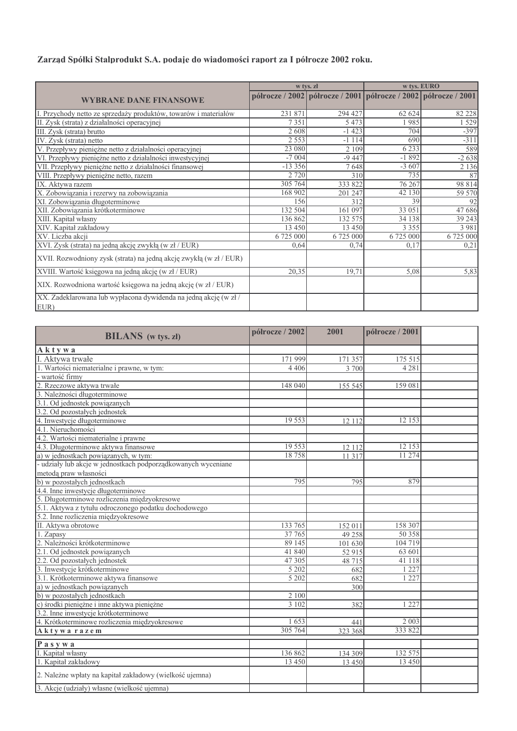## Zarząd Spółki Stalprodukt S.A. podaje do wiadomości raport za I półrocze 2002 roku.

|                                                                         |           | w tys. zł                                                       | w tys. EURO |           |
|-------------------------------------------------------------------------|-----------|-----------------------------------------------------------------|-------------|-----------|
| <b>WYBRANE DANE FINANSOWE</b>                                           |           | półrocze / 2002 półrocze / 2001 półrocze / 2002 półrocze / 2001 |             |           |
| I. Przychody netto ze sprzedaży produktów, towarów i materiałów         | 231 871   | 294 427                                                         | 62 624      | 82 228    |
| II. Zysk (strata) z działalności operacyjnej                            | 7351      | 5 4 7 3                                                         | 1985        | 1 5 2 9   |
| III. Zysk (strata) brutto                                               | 2608      | $-1423$                                                         | 704         | $-397$    |
| IV. Zysk (strata) netto                                                 | 2 5 5 3   | $-1114$                                                         | 690         | $-311$    |
| V. Przepływy pieniężne netto z działalności operacyjnej                 | 23 080    | 2 1 0 9                                                         | 6 2 3 3     | 589       |
| VI. Przepływy pieniężne netto z działalności inwestycyjnej              | $-7004$   | $-9447$                                                         | $-1892$     | $-2638$   |
| VII. Przepływy pieniężne netto z działalności finansowej                | $-13356$  | 7648                                                            | $-3607$     | 2 1 3 6   |
| VIII. Przepływy pieniężne netto, razem                                  | 2 7 2 0   | 310                                                             | 735         | 87        |
| IX. Aktywa razem                                                        | 305 764   | 333 822                                                         | 76 267      | 98 814    |
| X. Zobowiązania i rezerwy na zobowiązania                               | 168 902   | 201 247                                                         | 42 130      | 59 570    |
| XI. Zobowiązania długoterminowe                                         | 156       | 312                                                             | 39          | 92        |
| XII. Zobowiązania krótkoterminowe                                       | 132 504   | 161 097                                                         | 33 051      | 47686     |
| XIII. Kapitał własny                                                    | 136 862   | 132 575                                                         | 34 138      | 39 24 3   |
| XIV. Kapitał zakładowy                                                  | 13 4 5 0  | 13 4 5 0                                                        | 3 3 5 5     | 3 9 8 1   |
| XV. Liczba akcji                                                        | 6 725 000 | 6 725 000                                                       | 6 725 000   | 6 725 000 |
| XVI. Zysk (strata) na jedną akcję zwykłą (w zł / EUR)                   | 0,64      | 0,74                                                            | 0,17        | 0,21      |
| XVII. Rozwodniony zysk (strata) na jedną akcję zwykłą (w zł / EUR)      |           |                                                                 |             |           |
| XVIII. Wartość księgowa na jedną akcję (w zł / EUR)                     | 20,35     | 19,71                                                           | 5,08        | 5,83      |
| XIX. Rozwodniona wartość księgowa na jedną akcję (w zł / EUR)           |           |                                                                 |             |           |
| XX. Zadeklarowana lub wypłacona dywidenda na jedną akcję (w zł/<br>EUR) |           |                                                                 |             |           |

| <b>BILANS</b> (w tys. zł)                                                                       | półrocze / 2002 | 2001    | półrocze / 2001 |  |
|-------------------------------------------------------------------------------------------------|-----------------|---------|-----------------|--|
| Aktywa                                                                                          |                 |         |                 |  |
| Aktywa trwałe                                                                                   | 171 999         | 171 357 | 175 515         |  |
| 1. Wartości niematerialne i prawne, w tym:                                                      | 4 4 0 6         | 3 700   | 4 2 8 1         |  |
| wartość firmy                                                                                   |                 |         |                 |  |
| 2. Rzeczowe aktywa trwałe                                                                       | 148 040         | 155 545 | 159 081         |  |
| 3. Należności długoterminowe                                                                    |                 |         |                 |  |
|                                                                                                 |                 |         |                 |  |
| 3.1. Od jednostek powiązanych<br>3.2. Od pozostałych jednostek                                  |                 |         |                 |  |
| 4. Inwestycje długoterminowe                                                                    | 19 5 53         | 12 1 12 | 12 153          |  |
| 4.1. Nieruchomości                                                                              |                 |         |                 |  |
|                                                                                                 |                 |         |                 |  |
| 4.2. Wartości niematerialne i prawne<br>4.3. Długoterminowe aktywa finansowe                    | 19 553          | 12 112  | 12 153          |  |
| a) w jednostkach powiązanych, w tym:                                                            | 18758           | 11 3 17 | 11 274          |  |
| - udziały lub akcje w jednostkach podporządkowanych wyceniane                                   |                 |         |                 |  |
|                                                                                                 |                 |         |                 |  |
| metodą praw własności<br>b) w pozostałych jednostkach                                           | 795             | 795     | 879             |  |
| 4.4. Inne inwestycje długoterminowe                                                             |                 |         |                 |  |
| 5. Długoterminowe rozliczenia międzyokresowe                                                    |                 |         |                 |  |
| 5.1. Aktywa z tytułu odroczonego podatku dochodowego                                            |                 |         |                 |  |
| 5.2. Inne rozliczenia międzyokresowe                                                            |                 |         |                 |  |
| II. Aktywa obrotowe                                                                             | 133 765         | 152 011 | 158 307         |  |
| 1. Zapasy                                                                                       | 37 765          | 49 25 8 | 50 358          |  |
| 2. Należności krótkoterminowe                                                                   | 89 145          | 101 630 | 104 719         |  |
| 2.1. Od jednostek powiązanych<br>2.2. Od pozostałych jednostek<br>3. Inwestycje krótkoterminowe | 41 840          | 52 915  | 63601           |  |
|                                                                                                 | 47 305          | 48 715  | 41 118          |  |
|                                                                                                 | 5202            | 682     | 1 2 2 7         |  |
| 3.1. Krótkoterminowe aktywa finansowe                                                           | 5 202           | 682     | 1 2 2 7         |  |
| a) w jednostkach powiązanych                                                                    |                 | 300     |                 |  |
| b) w pozostałych jednostkach                                                                    | 2 100           |         |                 |  |
| c) środki pieniężne i inne aktywa pieniężne                                                     | 3102            | 382     | 1 2 2 7         |  |
| 3.2. Inne inwestycje krótkoterminowe                                                            |                 |         |                 |  |
| 4. Krótkoterminowe rozliczenia międzyokresowe                                                   | 1653            | 441     | 2003            |  |
| Aktywarazem                                                                                     | 305 764         | 323 368 | 333 822         |  |
| Pasywa                                                                                          |                 |         |                 |  |
| I. Kapital własny                                                                               | 136 862         | 134 309 | 132 575         |  |
| 1. Kapitał zakładowy                                                                            | 13 450          | 13 450  | 13450           |  |
| 2. Należne wpłaty na kapitał zakładowy (wielkość ujemna)                                        |                 |         |                 |  |
| 3. Akcje (udziały) własne (wielkość ujemna)                                                     |                 |         |                 |  |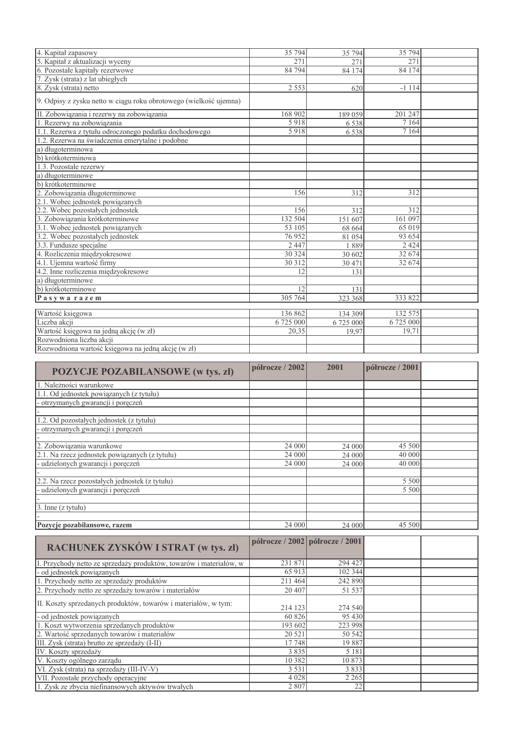| 4. Kapitał zapasowy                                               | 35 794    | 35 794    | 35 794           |  |
|-------------------------------------------------------------------|-----------|-----------|------------------|--|
| 5. Kapitał z aktualizacji wyceny                                  | 271       | 271       | 271              |  |
| 6. Pozostałe kapitały rezerwowe                                   | 84 794    | 84 174    | 84 174           |  |
| 7. Zysk (strata) z lat ubiegłych                                  |           |           |                  |  |
| 8. Zysk (strata) netto                                            | 2 5 5 3   | 620       | $-1114$          |  |
| 9. Odpisy z zysku netto w ciągu roku obrotowego (wielkość ujemna) |           |           |                  |  |
| II. Zobowiązania i rezerwy na zobowiązania                        | 168 902   | 189 059   | 201 247          |  |
| 1. Rezerwy na zobowiązania                                        | 5918      | 6 5 3 8   | $\frac{7164}{ }$ |  |
| 1.1. Rezerwa z tytułu odroczonego podatku dochodowego             | 5918      | 6 5 3 8   | 7 1 6 4          |  |
| 1.2. Rezerwa na świadczenia emerytalne i podobne                  |           |           |                  |  |
| a) długoterminowa                                                 |           |           |                  |  |
| b) krótkoterminowa                                                |           |           |                  |  |
| 1.3. Pozostałe rezerwy                                            |           |           |                  |  |
| a) długoterminowe                                                 |           |           |                  |  |
| b) krótkoterminowe                                                |           |           |                  |  |
| 2. Zobowiązania długoterminowe                                    | 156       | 312       | 312              |  |
| 2.1. Wobec jednostek powiązanych                                  |           |           |                  |  |
| 2.2. Wobec pozostałych jednostek                                  | 156       | 312       | 312              |  |
| 3. Zobowiązania krótkoterminowe                                   | 132 504   | 151 607   | 161 097          |  |
| 3.1. Wobec jednostek powiązanych                                  | 53 105    | 68 664    | 65 019           |  |
| 3.2. Wobec pozostałych jednostek                                  | 76952     | 81 054    | 93 654           |  |
| 3.3. Fundusze specjalne                                           | 2 4 4 7   | 1889      | 2 4 2 4          |  |
| 4. Rozliczenia międzyokresowe                                     | 30 324    | 30 602    | 32 674           |  |
| 4.1. Ujemna wartość firmy                                         | 30 312    | 30 471    | 32 674           |  |
| 4.2. Inne rozliczenia międzyokresowe                              | 12.       | 131       |                  |  |
| a) długoterminowe                                                 |           |           |                  |  |
| b) krótkoterminowe                                                | 12        | 131       |                  |  |
| Pasywarazem                                                       | 305 764   | 323 368   | 333 822          |  |
|                                                                   |           |           |                  |  |
| Wartość księgowa                                                  | 136 862   | 134 309   | 132 575          |  |
| Liczba akcji                                                      | 6 725 000 | 6 725 000 | 6725000          |  |
| Wartość księgowa na jedną akcję (w zł)                            | 20,35     | 19,97     | 19,71            |  |
| Rozwodniona liczba akcji                                          |           |           |                  |  |
| $\mathbb{R}$ ozwodniona wartość ksiegowa na jedna akcie (w zł)    |           |           |                  |  |

| <b>POZYCJE POZABILANSOWE</b> (w tys. zł)                                                                               | półrocze / 2002                 | 2001          | półrocze / 2001 |  |
|------------------------------------------------------------------------------------------------------------------------|---------------------------------|---------------|-----------------|--|
| 1. Należności warunkowe                                                                                                |                                 |               |                 |  |
| 1.1. Od jednostek powiązanych (z tytułu)                                                                               |                                 |               |                 |  |
| otrzymanych gwarancji i poręczeń                                                                                       |                                 |               |                 |  |
|                                                                                                                        |                                 |               |                 |  |
| 1.2. Od pozostałych jednostek (z tytułu)                                                                               |                                 |               |                 |  |
| otrzymanych gwarancji i poręczeń                                                                                       |                                 |               |                 |  |
|                                                                                                                        |                                 |               |                 |  |
| 2. Zobowiązania warunkowe                                                                                              | 24 000                          | 24 000        | 45 500          |  |
| 2.1. Na rzecz jednostek powiązanych (z tytułu)                                                                         | 24 000                          | 24 000        | 40 000          |  |
| udzielonych gwarancji i poręczeń                                                                                       | 24 000                          | 24 000        | 40 000          |  |
|                                                                                                                        |                                 |               |                 |  |
| 2.2. Na rzecz pozostałych jednostek (z tytułu)                                                                         |                                 |               | 5 500           |  |
| udzielonych gwarancji i poręczeń                                                                                       |                                 |               | 5 500           |  |
|                                                                                                                        |                                 |               |                 |  |
| 3. Inne (z tytułu)                                                                                                     |                                 |               |                 |  |
|                                                                                                                        |                                 |               |                 |  |
|                                                                                                                        |                                 |               |                 |  |
| Pozycje pozabilansowe, razem                                                                                           | 24 000                          | 24 000        | 45 500          |  |
| RACHUNEK ZYSKÓW I STRAT (w tys. zł)                                                                                    | półrocze / 2002 półrocze / 2001 |               |                 |  |
|                                                                                                                        | 231 871                         | 294 427       |                 |  |
| I. Przychody netto ze sprzedaży produktów, towarów i materiałów, w<br>- od jednostek powiązanych                       | 65 913                          | 102 344       |                 |  |
| 1. Przychody netto ze sprzedaży produktów                                                                              | 211 464                         | 242 890       |                 |  |
|                                                                                                                        | 20 407                          | 51 537        |                 |  |
| 2. Przychody netto ze sprzedaży towarów i materiałów<br>II. Koszty sprzedanych produktów, towarów i materiałów, w tym: | 214 123                         | 274 540       |                 |  |
| - od jednostek powiązanych                                                                                             | 60 826                          | 95 430        |                 |  |
| 1. Koszt wytworzenia sprzedanych produktów                                                                             | 193 602                         | 223 998       |                 |  |
| 2. Wartość sprzedanych towarów i materiałów                                                                            | 20 5 21                         | 50 542        |                 |  |
| III. Zysk (strata) brutto ze sprzedaży (I-II)                                                                          | 17748                           | 19887         |                 |  |
| IV. Koszty sprzedaży                                                                                                   | 3835                            | 5 1 8 1       |                 |  |
| V. Koszty ogólnego zarządu                                                                                             | 10 3 8 2                        | 10873         |                 |  |
| VI. Zysk (strata) na sprzedaży (III-IV-V)                                                                              | 3 5 3 1                         | 3833          |                 |  |
| VII. Pozostałe przychody operacyjne                                                                                    | 4 0 2 8<br>2807                 | 2 2 6 5<br>22 |                 |  |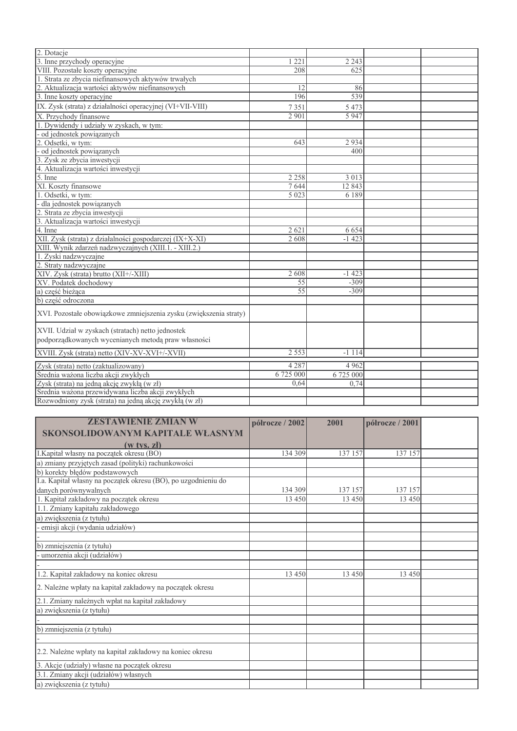| 2. Dotacje                                                         |           |           |  |
|--------------------------------------------------------------------|-----------|-----------|--|
| 3. Inne przychody operacyjne                                       | 221       | 2 2 4 3   |  |
| VIII. Pozostałe koszty operacyjne                                  | 208       | 625       |  |
| 1. Strata ze zbycia niefinansowych aktywów trwałych                |           |           |  |
| 2. Aktualizacja wartości aktywów niefinansowych                    | 12        | 86        |  |
| 3. Inne koszty operacyjne                                          | 196       | 539       |  |
| IX. Zysk (strata) z działalności operacyjnej (VI+VII-VIII)         | 7351      | 5 4 7 3   |  |
| X. Przychody finansowe                                             | 2901      | 5947      |  |
| 1. Dywidendy i udziały w zyskach, w tym:                           |           |           |  |
| od jednostek powiązanych                                           |           |           |  |
| 2. Odsetki, w tym:                                                 | 643       | 2934      |  |
| - od jednostek powiązanych                                         |           | 400       |  |
| 3. Zysk ze zbycia inwestycji                                       |           |           |  |
| 4. Aktualizacja wartości inwestycji                                |           |           |  |
| 5. Inne                                                            | 2 2 5 8   | 3 0 1 3   |  |
| XI. Koszty finansowe                                               | 7644      | 12843     |  |
| 1. Odsetki, w tym:                                                 | 5 0 2 3   | 6 1 8 9   |  |
| - dla jednostek powiązanych                                        |           |           |  |
| 2. Strata ze zbycia inwestycji                                     |           |           |  |
| 3. Aktualizacja wartości inwestycji                                |           |           |  |
| 4. Inne                                                            | 2621      | 6 6 5 4   |  |
| XII. Zysk (strata) z działalności gospodarczej (IX+X-XI)           | 2 608     | $-1423$   |  |
| XIII. Wynik zdarzeń nadzwyczajnych (XIII.1. - XIII.2.)             |           |           |  |
| 1. Zyski nadzwyczajne                                              |           |           |  |
| 2. Straty nadzwyczajne                                             |           |           |  |
| XIV. Zysk (strata) brutto (XII+/-XIII)                             | 2608      | $-1423$   |  |
| XV. Podatek dochodowy                                              | 55        | $-309$    |  |
| a) część bieżąca                                                   | 55        | $-309$    |  |
| b) część odroczona                                                 |           |           |  |
| XVI. Pozostałe obowiązkowe zmniejszenia zysku (zwiększenia straty) |           |           |  |
| XVII. Udział w zyskach (stratach) netto jednostek                  |           |           |  |
| podporządkowanych wycenianych metodą praw własności                |           |           |  |
| XVIII. Zysk (strata) netto (XIV-XV-XVI+/-XVII)                     | 2 5 5 3   | $-1114$   |  |
| Zysk (strata) netto (zaktualizowany)                               | 4 2 8 7   | 4 9 6 2   |  |
| Średnia ważona liczba akcji zwykłych                               | 6 725 000 | 6 725 000 |  |
| Zysk (strata) na jedną akcję zwykłą (w zł)                         | 0.64      | 0.74      |  |
| Średnia ważona przewidywana liczba akcji zwykłych                  |           |           |  |
|                                                                    |           |           |  |
| Rozwodniony zysk (strata) na jedną akcję zwykłą (w zł)             |           |           |  |

| <b>ZESTAWIENIE ZMIAN W</b>                                     | półrocze / 2002 | 2001    | półrocze / 2001 |  |
|----------------------------------------------------------------|-----------------|---------|-----------------|--|
| SKONSOLIDOWANYM KAPITALE WŁASNYM                               |                 |         |                 |  |
| $(w$ tys. $zi$ )                                               |                 |         |                 |  |
| I.Kapitał własny na początek okresu (BO)                       | 134 309         | 137 157 | 137 157         |  |
| a) zmiany przyjętych zasad (polityki) rachunkowości            |                 |         |                 |  |
| b) korekty błędów podstawowych                                 |                 |         |                 |  |
| I.a. Kapitał własny na początek okresu (BO), po uzgodnieniu do |                 |         |                 |  |
| danych porównywalnych                                          | 134 309         | 137 157 | 137 157         |  |
| 1. Kapitał zakładowy na początek okresu                        | 13 450          | 13 4 50 | 13 450          |  |
| 1.1. Zmiany kapitału zakładowego                               |                 |         |                 |  |
| a) zwiększenia (z tytułu)                                      |                 |         |                 |  |
| emisji akcji (wydania udziałów)                                |                 |         |                 |  |
|                                                                |                 |         |                 |  |
| b) zmniejszenia (z tytułu)                                     |                 |         |                 |  |
| umorzenia akcji (udziałów)                                     |                 |         |                 |  |
|                                                                |                 |         |                 |  |
| 1.2. Kapitał zakładowy na koniec okresu                        | 13 450          | 13 4 50 | 13 450          |  |
| 2. Należne wpłaty na kapitał zakładowy na początek okresu      |                 |         |                 |  |
| 2.1. Zmiany należnych wpłat na kapitał zakładowy               |                 |         |                 |  |
| a) zwiększenia (z tytułu)                                      |                 |         |                 |  |
|                                                                |                 |         |                 |  |
| b) zmniejszenia (z tytułu)                                     |                 |         |                 |  |
|                                                                |                 |         |                 |  |
| 2.2. Należne wpłaty na kapitał zakładowy na koniec okresu      |                 |         |                 |  |
| 3. Akcje (udziały) własne na początek okresu                   |                 |         |                 |  |
| 3.1. Zmiany akcji (udziałów) własnych                          |                 |         |                 |  |
| a) zwiększenia (z tytułu)                                      |                 |         |                 |  |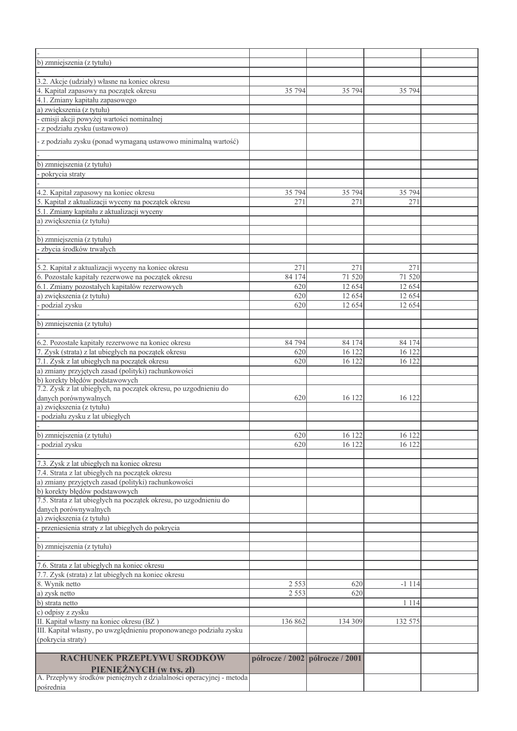| b) zmniejszenia (z tytułu)                                                                             |         |                                 |                     |  |
|--------------------------------------------------------------------------------------------------------|---------|---------------------------------|---------------------|--|
|                                                                                                        |         |                                 |                     |  |
| 3.2. Akcje (udziały) własne na koniec okresu                                                           |         |                                 |                     |  |
| 4. Kapitał zapasowy na początek okresu                                                                 |         |                                 |                     |  |
|                                                                                                        | 35 794  | 35 794                          | 35 794              |  |
| 4.1. Zmiany kapitału zapasowego                                                                        |         |                                 |                     |  |
| a) zwiększenia (z tytułu)                                                                              |         |                                 |                     |  |
| emisji akcji powyżej wartości nominalnej                                                               |         |                                 |                     |  |
| - z podziału zysku (ustawowo)                                                                          |         |                                 |                     |  |
| - z podziału zysku (ponad wymaganą ustawowo minimalną wartość)                                         |         |                                 |                     |  |
|                                                                                                        |         |                                 |                     |  |
| b) zmniejszenia (z tytułu)                                                                             |         |                                 |                     |  |
| pokrycia straty                                                                                        |         |                                 |                     |  |
|                                                                                                        |         |                                 |                     |  |
|                                                                                                        | 35 794  | 35 794                          | 35 794              |  |
| 4.2. Kapitał zapasowy na koniec okresu<br>5. Kapitał z aktualizacji wyceny na początek okresu          | 271     | 271                             | 271                 |  |
| 5.1. Zmiany kapitału z aktualizacji wyceny                                                             |         |                                 |                     |  |
|                                                                                                        |         |                                 |                     |  |
| a) zwiększenia (z tytułu)                                                                              |         |                                 |                     |  |
|                                                                                                        |         |                                 |                     |  |
| b) zmniejszenia (z tytułu)                                                                             |         |                                 |                     |  |
| zbycia środków trwałych                                                                                |         |                                 |                     |  |
|                                                                                                        |         |                                 |                     |  |
| 5.2. Kapitał z aktualizacji wyceny na koniec okresu                                                    | 271     | 271                             | 271                 |  |
| 6. Pozostałe kapitały rezerwowe na początek okresu                                                     | 84 174  | 71 520                          | 71 520              |  |
| 6.1. Zmiany pozostałych kapitałów rezerwowych                                                          | 620     | 12 654                          | 12 654              |  |
| a) zwiększenia (z tytułu)                                                                              | 620     | 12 654                          | 12 654              |  |
| podzial zysku                                                                                          | 620     | 12 654                          | 12654               |  |
|                                                                                                        |         |                                 |                     |  |
| b) zmniejszenia (z tytułu)                                                                             |         |                                 |                     |  |
|                                                                                                        |         |                                 |                     |  |
| 6.2. Pozostałe kapitały rezerwowe na koniec okresu                                                     | 84 794  | 84 174                          | 84 174              |  |
| 7. Zysk (strata) z lat ubiegłych na początek okresu                                                    | 620     | 16 122                          | 16 122              |  |
| 7.1. Zysk z lat ubiegłych na początek okresu                                                           | 620     | 16 122                          | 16 122              |  |
| a) zmiany przyjętych zasad (polityki) rachunkowości                                                    |         |                                 |                     |  |
| b) korekty błędów podstawowych                                                                         |         |                                 |                     |  |
| 7.2. Zysk z lat ubiegłych, na początek okresu, po uzgodnieniu do                                       |         |                                 |                     |  |
|                                                                                                        |         |                                 |                     |  |
| danych porównywalnych                                                                                  | 620     | 16 122                          | 16 122              |  |
| a) zwiększenia (z tytułu)                                                                              |         |                                 |                     |  |
| podziału zysku z lat ubiegłych                                                                         |         |                                 |                     |  |
|                                                                                                        |         |                                 |                     |  |
| b) zmniejszenia (z tytułu)                                                                             | 620     | $16 \overline{122}$             | $16 \overline{122}$ |  |
| podzial zysku                                                                                          | 620     | 16 122                          | 16 122              |  |
|                                                                                                        |         |                                 |                     |  |
| 7.3. Zysk z lat ubiegłych na koniec okresu                                                             |         |                                 |                     |  |
| 7.4. Strata z lat ubiegłych na początek okresu                                                         |         |                                 |                     |  |
| a) zmiany przyjętych zasad (polityki) rachunkowości                                                    |         |                                 |                     |  |
| b) korekty błędów podstawowych                                                                         |         |                                 |                     |  |
| 7.5. Strata z lat ubiegłych na początek okresu, po uzgodnieniu do                                      |         |                                 |                     |  |
| danych porównywalnych                                                                                  |         |                                 |                     |  |
| a) zwiększenia (z tytułu)                                                                              |         |                                 |                     |  |
| przeniesienia straty z lat ubiegłych do pokrycia                                                       |         |                                 |                     |  |
|                                                                                                        |         |                                 |                     |  |
| b) zmniejszenia (z tytułu)                                                                             |         |                                 |                     |  |
|                                                                                                        |         |                                 |                     |  |
| 7.6. Strata z lat ubiegłych na koniec okresu                                                           |         |                                 |                     |  |
| 7.7. Zysk (strata) z lat ubiegłych na koniec okresu                                                    |         |                                 |                     |  |
|                                                                                                        |         |                                 |                     |  |
|                                                                                                        | 2 5 5 3 | 620                             | $-1114$             |  |
| 8. Wynik netto<br>a) zysk netto<br>b) strata netto                                                     | 2 5 5 3 | 620                             |                     |  |
|                                                                                                        |         |                                 | 1 1 1 4             |  |
| c) odpisy z zysku                                                                                      |         |                                 |                     |  |
| II. Kapitał własny na koniec okresu (BZ)                                                               | 136 862 | 134 309                         | 132 575             |  |
| III. Kapitał własny, po uwzględnieniu proponowanego podziału zysku                                     |         |                                 |                     |  |
| (pokrycia straty)                                                                                      |         |                                 |                     |  |
|                                                                                                        |         |                                 |                     |  |
| <b>RACHUNEK PRZEPŁYWU ŚRODKÓW</b>                                                                      |         | półrocze / 2002 półrocze / 2001 |                     |  |
| <b>PIENIEŻNYCH (w tys. zł)</b><br>A. Przepływy środków pieniężnych z działalności operacyjnej - metoda |         |                                 |                     |  |
|                                                                                                        |         |                                 |                     |  |
| pośrednia                                                                                              |         |                                 |                     |  |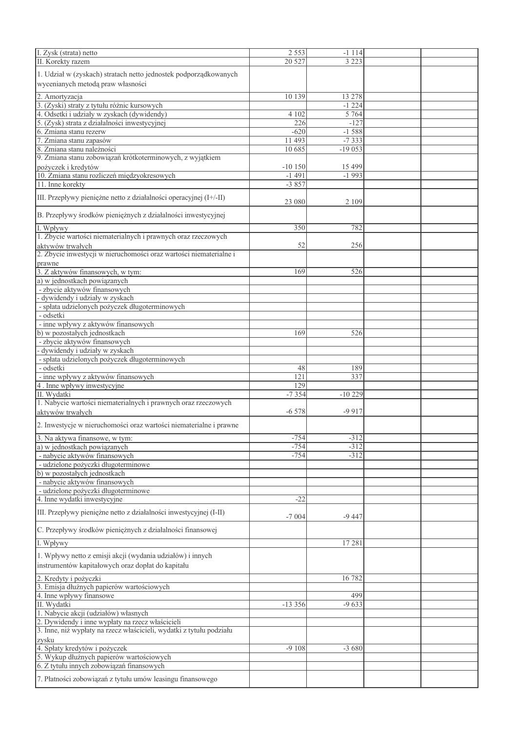| I. Zysk (strata) netto                                                                 | 2 5 5 3          | $-1114$  |  |
|----------------------------------------------------------------------------------------|------------------|----------|--|
|                                                                                        |                  |          |  |
| II. Korekty razem                                                                      | 20 5 27          | 3 2 2 3  |  |
| 1. Udział w (zyskach) stratach netto jednostek podporządkowanych                       |                  |          |  |
|                                                                                        |                  |          |  |
| wycenianych metodą praw własności                                                      |                  |          |  |
|                                                                                        |                  |          |  |
| 2. Amortyzacja                                                                         | 10 139           | 13 278   |  |
| 3. (Zyski) straty z tytułu różnic kursowych                                            |                  | $-1224$  |  |
| 4. Odsetki i udziały w zyskach (dywidendy)                                             | 4 1 0 2          | 5 7 6 4  |  |
| 5. (Zysk) strata z działalności inwestycyjnej                                          | $\overline{226}$ | $-127$   |  |
|                                                                                        |                  | $-1588$  |  |
| 6. Zmiana stanu rezerw                                                                 | $-620$           |          |  |
| 7. Zmiana stanu zapasów                                                                | 11 493           | $-7333$  |  |
| 8. Zmiana stanu należności                                                             | 10 685           | $-19053$ |  |
| 9. Zmiana stanu zobowiązań krótkoterminowych, z wyjątkiem                              |                  |          |  |
| pożyczek i kredytów                                                                    | $-10150$         | 15 4 9 9 |  |
|                                                                                        |                  |          |  |
| 10. Zmiana stanu rozliczeń międzyokresowych                                            | $-1491$          | $-1993$  |  |
| 11. Inne korekty                                                                       | $-3857$          |          |  |
|                                                                                        |                  |          |  |
| III. Przepływy pieniężne netto z działalności operacyjnej (I+/-II)                     | 23 080           | 2 1 0 9  |  |
|                                                                                        |                  |          |  |
| B. Przepływy środków pieniężnych z działalności inwestycyjnej                          |                  |          |  |
|                                                                                        |                  |          |  |
| I. Wpływy                                                                              | 350              | 782      |  |
| 1. Zbycie wartości niematerialnych i prawnych oraz rzeczowych                          |                  |          |  |
|                                                                                        | 52               | 256      |  |
| aktywów trwałych<br>2. Zbycie inwestycji w nieruchomości oraz wartości niematerialne i |                  |          |  |
|                                                                                        |                  |          |  |
| prawne                                                                                 |                  |          |  |
| 3. Z aktywów finansowych, w tym:                                                       | 169              | 526      |  |
| a) w jednostkach powiązanych                                                           |                  |          |  |
|                                                                                        |                  |          |  |
| - zbycie aktywów finansowych                                                           |                  |          |  |
| dywidendy i udziały w zyskach                                                          |                  |          |  |
| - spłata udzielonych pożyczek długoterminowych                                         |                  |          |  |
| - odsetki                                                                              |                  |          |  |
|                                                                                        |                  |          |  |
| - inne wpływy z aktywów finansowych                                                    |                  |          |  |
| b) w pozostałych jednostkach                                                           | 169              | 526      |  |
| - zbycie aktywów finansowych                                                           |                  |          |  |
| dywidendy i udziały w zyskach                                                          |                  |          |  |
|                                                                                        |                  |          |  |
| - spłata udzielonych pożyczek długoterminowych                                         |                  |          |  |
| - odsetki                                                                              | 48               | 189      |  |
| - inne wpływy z aktywów finansowych                                                    | 121              | 337      |  |
|                                                                                        | 129              |          |  |
| 4. Inne wpływy inwestycyjne<br>II. Wydatki                                             | $-7354$          | $-10229$ |  |
|                                                                                        |                  |          |  |
| 1. Nabycie wartości niematerialnych i prawnych oraz rzeczowych                         |                  |          |  |
| aktywów trwałych                                                                       | $-6578$          | $-9917$  |  |
|                                                                                        |                  |          |  |
| 2. Inwestycje w nieruchomości oraz wartości niematerialne i prawne                     |                  |          |  |
|                                                                                        |                  |          |  |
| 3. Na aktywa finansowe, w tym:                                                         | $-754$           | $-312$   |  |
| a) w jednostkach powiązanych                                                           | $-754$           | $-312$   |  |
| - nabycie aktywów finansowych                                                          | $-754$           | $-312$   |  |
| - udzielone pożyczki długoterminowe                                                    |                  |          |  |
|                                                                                        |                  |          |  |
| b) w pozostałych jednostkach                                                           |                  |          |  |
| - nabycie aktywów finansowych                                                          |                  |          |  |
| - udzielone pożyczki długoterminowe                                                    |                  |          |  |
| 4. Inne wydatki inwestycyjne                                                           | $-22$            |          |  |
|                                                                                        |                  |          |  |
| III. Przepływy pieniężne netto z działalności inwestycyjnej (I-II)                     |                  |          |  |
|                                                                                        | $-7004$          | $-9447$  |  |
|                                                                                        |                  |          |  |
| C. Przepływy środków pieniężnych z działalności finansowej                             |                  |          |  |
|                                                                                        |                  | 17281    |  |
| I. Wpływy                                                                              |                  |          |  |
| 1. Wpływy netto z emisji akcji (wydania udziałów) i innych                             |                  |          |  |
|                                                                                        |                  |          |  |
| instrumentów kapitałowych oraz dopłat do kapitału                                      |                  |          |  |
|                                                                                        |                  | 16782    |  |
| 2. Kredyty i pożyczki<br>3. Emisja dłużnych papierów wartościowych                     |                  |          |  |
|                                                                                        |                  |          |  |
| 4. Inne wpływy finansowe                                                               |                  | 499      |  |
| II. Wydatki                                                                            | $-13356$         | $-9633$  |  |
| 1. Nabycie akcji (udziałów) własnych                                                   |                  |          |  |
|                                                                                        |                  |          |  |
| 2. Dywidendy i inne wypłaty na rzecz właścicieli                                       |                  |          |  |
| 3. Inne, niż wypłaty na rzecz właścicieli, wydatki z tytułu podziału                   |                  |          |  |
| zysku                                                                                  |                  |          |  |
| 4. Spłaty kredytów i pożyczek                                                          | $-9108$          | $-3680$  |  |
|                                                                                        |                  |          |  |
| 5. Wykup dłużnych papierów wartościowych                                               |                  |          |  |
| 6. Z tytułu innych zobowiązań finansowych                                              |                  |          |  |
|                                                                                        |                  |          |  |
| 7. Płatności zobowiązań z tytułu umów leasingu finansowego                             |                  |          |  |
|                                                                                        |                  |          |  |